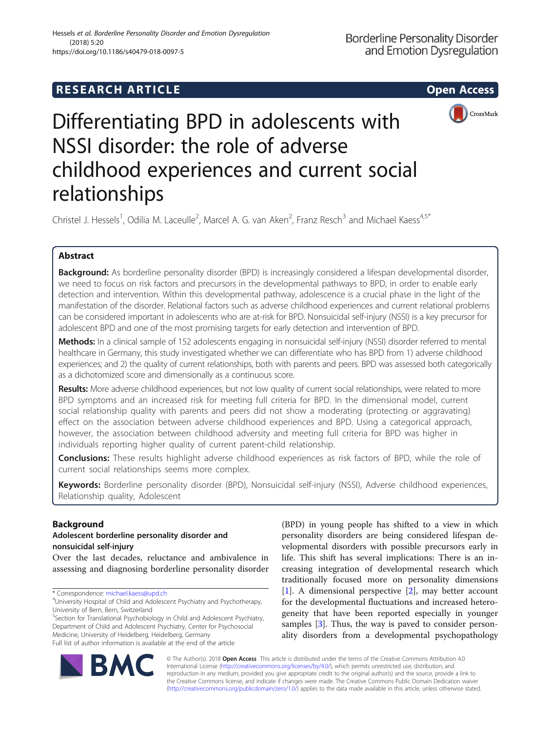# **RESEARCH ARTICLE Example 2014 CONSIDERING CONSIDERING CONSIDERING CONSIDERING CONSIDERING CONSIDERING CONSIDERING CONSIDERING CONSIDERING CONSIDERING CONSIDERING CONSIDERING CONSIDERING CONSIDERING CONSIDERING CONSIDE**



# Differentiating BPD in adolescents with NSSI disorder: the role of adverse childhood experiences and current social relationships

Christel J. Hessels<sup>1</sup>, Odilia M. Laceulle<sup>2</sup>, Marcel A. G. van Aken<sup>2</sup>, Franz Resch<sup>3</sup> and Michael Kaess<sup>4,5\*</sup>

# Abstract

**Background:** As borderline personality disorder (BPD) is increasingly considered a lifespan developmental disorder, we need to focus on risk factors and precursors in the developmental pathways to BPD, in order to enable early detection and intervention. Within this developmental pathway, adolescence is a crucial phase in the light of the manifestation of the disorder. Relational factors such as adverse childhood experiences and current relational problems can be considered important in adolescents who are at-risk for BPD. Nonsuicidal self-injury (NSSI) is a key precursor for adolescent BPD and one of the most promising targets for early detection and intervention of BPD.

Methods: In a clinical sample of 152 adolescents engaging in nonsuicidal self-injury (NSSI) disorder referred to mental healthcare in Germany, this study investigated whether we can differentiate who has BPD from 1) adverse childhood experiences; and 2) the quality of current relationships, both with parents and peers. BPD was assessed both categorically as a dichotomized score and dimensionally as a continuous score.

Results: More adverse childhood experiences, but not low quality of current social relationships, were related to more BPD symptoms and an increased risk for meeting full criteria for BPD. In the dimensional model, current social relationship quality with parents and peers did not show a moderating (protecting or aggravating) effect on the association between adverse childhood experiences and BPD. Using a categorical approach, however, the association between childhood adversity and meeting full criteria for BPD was higher in individuals reporting higher quality of current parent-child relationship.

Conclusions: These results highlight adverse childhood experiences as risk factors of BPD, while the role of current social relationships seems more complex.

Keywords: Borderline personality disorder (BPD), Nonsuicidal self-injury (NSSI), Adverse childhood experiences, Relationship quality, Adolescent

# Background

# Adolescent borderline personality disorder and nonsuicidal self-injury

Over the last decades, reluctance and ambivalence in assessing and diagnosing borderline personality disorder

\* Correspondence: [michael.kaess@upd.ch](mailto:michael.kaess@upd.ch) <sup>4</sup>

<sup>5</sup>Section for Translational Psychobiology in Child and Adolescent Psychiatry, Department of Child and Adolescent Psychiatry, Center for Psychosocial Medicine, University of Heidelberg, Heidelberg, Germany Full list of author information is available at the end of the article



© The Author(s). 2018 Open Access This article is distributed under the terms of the Creative Commons Attribution 4.0 International License [\(http://creativecommons.org/licenses/by/4.0/](http://creativecommons.org/licenses/by/4.0/)), which permits unrestricted use, distribution, and reproduction in any medium, provided you give appropriate credit to the original author(s) and the source, provide a link to the Creative Commons license, and indicate if changes were made. The Creative Commons Public Domain Dedication waiver [\(http://creativecommons.org/publicdomain/zero/1.0/](http://creativecommons.org/publicdomain/zero/1.0/)) applies to the data made available in this article, unless otherwise stated.

University Hospital of Child and Adolescent Psychiatry and Psychotherapy, University of Bern, Bern, Switzerland

<sup>(</sup>BPD) in young people has shifted to a view in which personality disorders are being considered lifespan developmental disorders with possible precursors early in life. This shift has several implications: There is an increasing integration of developmental research which traditionally focused more on personality dimensions [[1\]](#page-9-0). A dimensional perspective [[2\]](#page-9-0), may better account for the developmental fluctuations and increased heterogeneity that have been reported especially in younger samples [[3\]](#page-9-0). Thus, the way is paved to consider personality disorders from a developmental psychopathology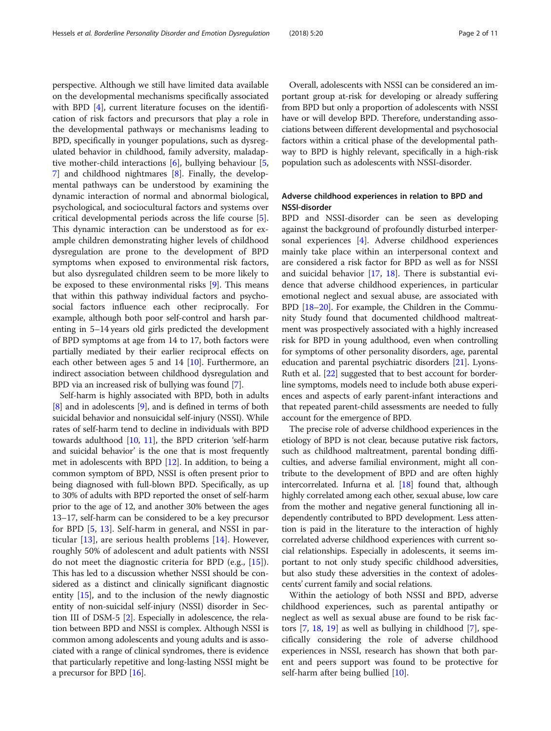perspective. Although we still have limited data available on the developmental mechanisms specifically associated with BPD [\[4](#page-10-0)], current literature focuses on the identification of risk factors and precursors that play a role in the developmental pathways or mechanisms leading to BPD, specifically in younger populations, such as dysregulated behavior in childhood, family adversity, maladaptive mother-child interactions [[6](#page-10-0)], bullying behaviour [\[5](#page-10-0), [7\]](#page-10-0) and childhood nightmares [[8\]](#page-10-0). Finally, the developmental pathways can be understood by examining the dynamic interaction of normal and abnormal biological, psychological, and sociocultural factors and systems over critical developmental periods across the life course [\[5](#page-10-0)]. This dynamic interaction can be understood as for example children demonstrating higher levels of childhood dysregulation are prone to the development of BPD symptoms when exposed to environmental risk factors, but also dysregulated children seem to be more likely to be exposed to these environmental risks [\[9](#page-10-0)]. This means that within this pathway individual factors and psychosocial factors influence each other reciprocally. For example, although both poor self-control and harsh parenting in 5–14 years old girls predicted the development of BPD symptoms at age from 14 to 17, both factors were partially mediated by their earlier reciprocal effects on each other between ages 5 and 14  $[10]$ . Furthermore, an indirect association between childhood dysregulation and BPD via an increased risk of bullying was found [\[7](#page-10-0)].

Self-harm is highly associated with BPD, both in adults [[8\]](#page-10-0) and in adolescents [\[9](#page-10-0)], and is defined in terms of both suicidal behavior and nonsuicidal self-injury (NSSI). While rates of self-harm tend to decline in individuals with BPD towards adulthood [[10](#page-10-0), [11](#page-10-0)], the BPD criterion 'self-harm and suicidal behavior' is the one that is most frequently met in adolescents with BPD [\[12\]](#page-10-0). In addition, to being a common symptom of BPD, NSSI is often present prior to being diagnosed with full-blown BPD. Specifically, as up to 30% of adults with BPD reported the onset of self-harm prior to the age of 12, and another 30% between the ages 13–17, self-harm can be considered to be a key precursor for BPD [[5,](#page-10-0) [13](#page-10-0)]. Self-harm in general, and NSSI in particular [\[13](#page-10-0)], are serious health problems [[14\]](#page-10-0). However, roughly 50% of adolescent and adult patients with NSSI do not meet the diagnostic criteria for BPD (e.g., [[15\]](#page-10-0)). This has led to a discussion whether NSSI should be considered as a distinct and clinically significant diagnostic entity [[15](#page-10-0)], and to the inclusion of the newly diagnostic entity of non-suicidal self-injury (NSSI) disorder in Section III of DSM-5 [\[2\]](#page-9-0). Especially in adolescence, the relation between BPD and NSSI is complex. Although NSSI is common among adolescents and young adults and is associated with a range of clinical syndromes, there is evidence that particularly repetitive and long-lasting NSSI might be a precursor for BPD [[16\]](#page-10-0).

Overall, adolescents with NSSI can be considered an important group at-risk for developing or already suffering from BPD but only a proportion of adolescents with NSSI have or will develop BPD. Therefore, understanding associations between different developmental and psychosocial factors within a critical phase of the developmental pathway to BPD is highly relevant, specifically in a high-risk population such as adolescents with NSSI-disorder.

# Adverse childhood experiences in relation to BPD and NSSI-disorder

BPD and NSSI-disorder can be seen as developing against the background of profoundly disturbed interpersonal experiences [[4\]](#page-10-0). Adverse childhood experiences mainly take place within an interpersonal context and are considered a risk factor for BPD as well as for NSSI and suicidal behavior [\[17](#page-10-0), [18](#page-10-0)]. There is substantial evidence that adverse childhood experiences, in particular emotional neglect and sexual abuse, are associated with BPD [[18](#page-10-0)–[20\]](#page-10-0). For example, the Children in the Community Study found that documented childhood maltreatment was prospectively associated with a highly increased risk for BPD in young adulthood, even when controlling for symptoms of other personality disorders, age, parental education and parental psychiatric disorders [[21](#page-10-0)]. Lyons-Ruth et al. [[22](#page-10-0)] suggested that to best account for borderline symptoms, models need to include both abuse experiences and aspects of early parent-infant interactions and that repeated parent-child assessments are needed to fully account for the emergence of BPD.

The precise role of adverse childhood experiences in the etiology of BPD is not clear, because putative risk factors, such as childhood maltreatment, parental bonding difficulties, and adverse familial environment, might all contribute to the development of BPD and are often highly intercorrelated. Infurna et al. [\[18](#page-10-0)] found that, although highly correlated among each other, sexual abuse, low care from the mother and negative general functioning all independently contributed to BPD development. Less attention is paid in the literature to the interaction of highly correlated adverse childhood experiences with current social relationships. Especially in adolescents, it seems important to not only study specific childhood adversities, but also study these adversities in the context of adolescents' current family and social relations.

Within the aetiology of both NSSI and BPD, adverse childhood experiences, such as parental antipathy or neglect as well as sexual abuse are found to be risk factors [\[7](#page-10-0), [18](#page-10-0), [19\]](#page-10-0) as well as bullying in childhood [[7\]](#page-10-0), specifically considering the role of adverse childhood experiences in NSSI, research has shown that both parent and peers support was found to be protective for self-harm after being bullied [[10\]](#page-10-0).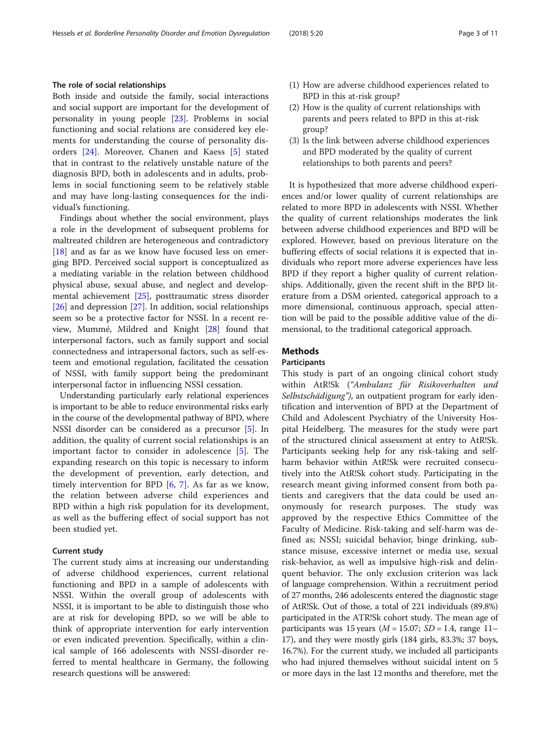#### The role of social relationships

Both inside and outside the family, social interactions and social support are important for the development of personality in young people [\[23](#page-10-0)]. Problems in social functioning and social relations are considered key elements for understanding the course of personality disorders [[24\]](#page-10-0). Moreover, Chanen and Kaess [[5](#page-10-0)] stated that in contrast to the relatively unstable nature of the diagnosis BPD, both in adolescents and in adults, problems in social functioning seem to be relatively stable and may have long-lasting consequences for the individual's functioning.

Findings about whether the social environment, plays a role in the development of subsequent problems for maltreated children are heterogeneous and contradictory [[18\]](#page-10-0) and as far as we know have focused less on emerging BPD. Perceived social support is conceptualized as a mediating variable in the relation between childhood physical abuse, sexual abuse, and neglect and developmental achievement [[25](#page-10-0)], posttraumatic stress disorder [[26\]](#page-10-0) and depression [[27\]](#page-10-0). In addition, social relationships seem so be a protective factor for NSSI. In a recent review, Mummé, Mildred and Knight [[28\]](#page-10-0) found that interpersonal factors, such as family support and social connectedness and intrapersonal factors, such as self-esteem and emotional regulation, facilitated the cessation of NSSI, with family support being the predominant interpersonal factor in influencing NSSI cessation.

Understanding particularly early relational experiences is important to be able to reduce environmental risks early in the course of the developmental pathway of BPD, where NSSI disorder can be considered as a precursor [\[5](#page-10-0)]. In addition, the quality of current social relationships is an important factor to consider in adolescence [[5\]](#page-10-0). The expanding research on this topic is necessary to inform the development of prevention, early detection, and timely intervention for BPD [[6,](#page-10-0) [7](#page-10-0)]. As far as we know, the relation between adverse child experiences and BPD within a high risk population for its development, as well as the buffering effect of social support has not been studied yet.

#### Current study

The current study aims at increasing our understanding of adverse childhood experiences, current relational functioning and BPD in a sample of adolescents with NSSI. Within the overall group of adolescents with NSSI, it is important to be able to distinguish those who are at risk for developing BPD, so we will be able to think of appropriate intervention for early intervention or even indicated prevention. Specifically, within a clinical sample of 166 adolescents with NSSI-disorder referred to mental healthcare in Germany, the following research questions will be answered:

- (1) How are adverse childhood experiences related to BPD in this at-risk group?
- (2) How is the quality of current relationships with parents and peers related to BPD in this at-risk group?
- (3) Is the link between adverse childhood experiences and BPD moderated by the quality of current relationships to both parents and peers?

It is hypothesized that more adverse childhood experiences and/or lower quality of current relationships are related to more BPD in adolescents with NSSI. Whether the quality of current relationships moderates the link between adverse childhood experiences and BPD will be explored. However, based on previous literature on the buffering effects of social relations it is expected that individuals who report more adverse experiences have less BPD if they report a higher quality of current relationships. Additionally, given the recent shift in the BPD literature from a DSM oriented, categorical approach to a more dimensional, continuous approach, special attention will be paid to the possible additive value of the dimensional, to the traditional categorical approach.

# Methods

#### **Participants**

This study is part of an ongoing clinical cohort study within AtR!Sk ("Ambulanz für Risikoverhalten und Selbstschädigung"), an outpatient program for early identification and intervention of BPD at the Department of Child and Adolescent Psychiatry of the University Hospital Heidelberg. The measures for the study were part of the structured clinical assessment at entry to AtR!Sk. Participants seeking help for any risk-taking and selfharm behavior within AtR!Sk were recruited consecutively into the AtR!Sk cohort study. Participating in the research meant giving informed consent from both patients and caregivers that the data could be used anonymously for research purposes. The study was approved by the respective Ethics Committee of the Faculty of Medicine. Risk-taking and self-harm was defined as; NSSI; suicidal behavior, binge drinking, substance misuse, excessive internet or media use, sexual risk-behavior, as well as impulsive high-risk and delinquent behavior. The only exclusion criterion was lack of language comprehension. Within a recruitment period of 27 months, 246 adolescents entered the diagnostic stage of AtR!Sk. Out of those, a total of 221 individuals (89.8%) participated in the ATR!Sk cohort study. The mean age of participants was 15 years ( $M = 15.07$ ;  $SD = 1.4$ , range 11– 17), and they were mostly girls (184 girls, 83.3%; 37 boys, 16.7%). For the current study, we included all participants who had injured themselves without suicidal intent on 5 or more days in the last 12 months and therefore, met the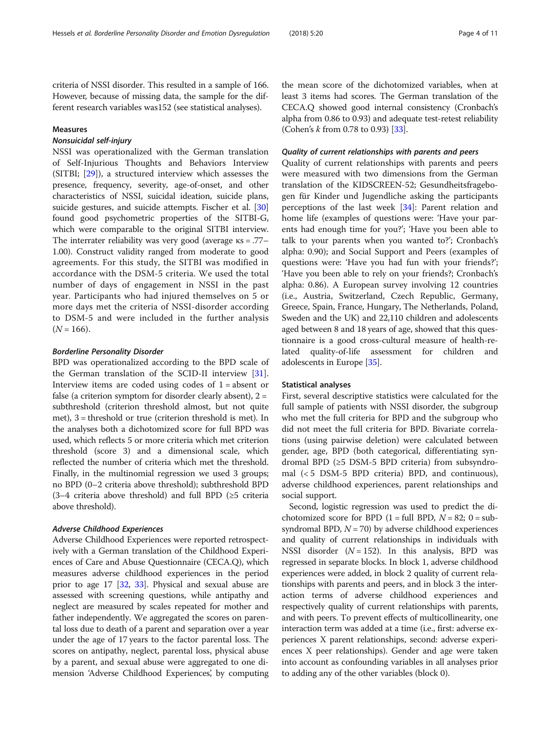criteria of NSSI disorder. This resulted in a sample of 166. However, because of missing data, the sample for the different research variables was152 (see statistical analyses).

# Measures

# Nonsuicidal self-injury

NSSI was operationalized with the German translation of Self-Injurious Thoughts and Behaviors Interview (SITBI; [\[29](#page-10-0)]), a structured interview which assesses the presence, frequency, severity, age-of-onset, and other characteristics of NSSI, suicidal ideation, suicide plans, suicide gestures, and suicide attempts. Fischer et al. [[30](#page-10-0)] found good psychometric properties of the SITBI-G, which were comparable to the original SITBI interview. The interrater reliability was very good (average κs = .77– 1.00). Construct validity ranged from moderate to good agreements. For this study, the SITBI was modified in accordance with the DSM-5 criteria. We used the total number of days of engagement in NSSI in the past year. Participants who had injured themselves on 5 or more days met the criteria of NSSI-disorder according to DSM-5 and were included in the further analysis  $(N = 166)$ .

## Borderline Personality Disorder

BPD was operationalized according to the BPD scale of the German translation of the SCID-II interview [\[31](#page-10-0)]. Interview items are coded using codes of  $1 =$  absent or false (a criterion symptom for disorder clearly absent),  $2 =$ subthreshold (criterion threshold almost, but not quite met), 3 = threshold or true (criterion threshold is met). In the analyses both a dichotomized score for full BPD was used, which reflects 5 or more criteria which met criterion threshold (score 3) and a dimensional scale, which reflected the number of criteria which met the threshold. Finally, in the multinomial regression we used 3 groups; no BPD (0–2 criteria above threshold); subthreshold BPD (3–4 criteria above threshold) and full BPD (≥5 criteria above threshold).

# Adverse Childhood Experiences

Adverse Childhood Experiences were reported retrospectively with a German translation of the Childhood Experiences of Care and Abuse Questionnaire (CECA.Q), which measures adverse childhood experiences in the period prior to age 17 [\[32,](#page-10-0) [33](#page-10-0)]. Physical and sexual abuse are assessed with screening questions, while antipathy and neglect are measured by scales repeated for mother and father independently. We aggregated the scores on parental loss due to death of a parent and separation over a year under the age of 17 years to the factor parental loss. The scores on antipathy, neglect, parental loss, physical abuse by a parent, and sexual abuse were aggregated to one dimension 'Adverse Childhood Experiences', by computing

the mean score of the dichotomized variables, when at least 3 items had scores. The German translation of the CECA.Q showed good internal consistency (Cronbach's alpha from 0.86 to 0.93) and adequate test-retest reliability (Cohen's k from 0.78 to 0.93) [\[33\]](#page-10-0).

## Quality of current relationships with parents and peers

Quality of current relationships with parents and peers were measured with two dimensions from the German translation of the KIDSCREEN-52; Gesundheitsfragebogen für Kinder und Jugendliche asking the participants perceptions of the last week [[34](#page-10-0)]: Parent relation and home life (examples of questions were: 'Have your parents had enough time for you?'; 'Have you been able to talk to your parents when you wanted to?'; Cronbach's alpha: 0.90); and Social Support and Peers (examples of questions were: 'Have you had fun with your friends?'; 'Have you been able to rely on your friends?; Cronbach's alpha: 0.86). A European survey involving 12 countries (i.e., Austria, Switzerland, Czech Republic, Germany, Greece, Spain, France, Hungary, The Netherlands, Poland, Sweden and the UK) and 22,110 children and adolescents aged between 8 and 18 years of age, showed that this questionnaire is a good cross-cultural measure of health-related quality-of-life assessment for children and adolescents in Europe [\[35\]](#page-10-0).

# Statistical analyses

First, several descriptive statistics were calculated for the full sample of patients with NSSI disorder, the subgroup who met the full criteria for BPD and the subgroup who did not meet the full criteria for BPD. Bivariate correlations (using pairwise deletion) were calculated between gender, age, BPD (both categorical, differentiating syndromal BPD (≥5 DSM-5 BPD criteria) from subsyndromal (< 5 DSM-5 BPD criteria) BPD, and continuous), adverse childhood experiences, parent relationships and social support.

Second, logistic regression was used to predict the dichotomized score for BPD  $(1 = full BPD, N = 82; 0 = sub$ syndromal BPD,  $N = 70$ ) by adverse childhood experiences and quality of current relationships in individuals with NSSI disorder  $(N = 152)$ . In this analysis, BPD was regressed in separate blocks. In block 1, adverse childhood experiences were added, in block 2 quality of current relationships with parents and peers, and in block 3 the interaction terms of adverse childhood experiences and respectively quality of current relationships with parents, and with peers. To prevent effects of multicollinearity, one interaction term was added at a time (i.e., first: adverse experiences X parent relationships, second: adverse experiences X peer relationships). Gender and age were taken into account as confounding variables in all analyses prior to adding any of the other variables (block 0).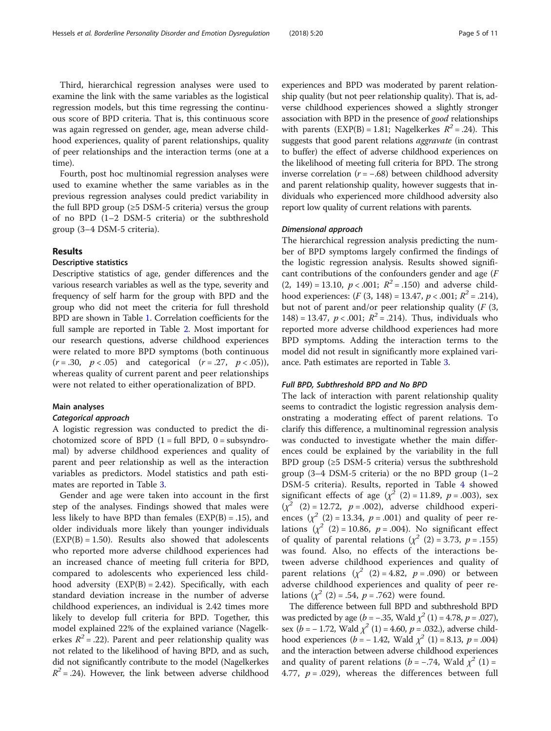Third, hierarchical regression analyses were used to examine the link with the same variables as the logistical regression models, but this time regressing the continuous score of BPD criteria. That is, this continuous score was again regressed on gender, age, mean adverse childhood experiences, quality of parent relationships, quality of peer relationships and the interaction terms (one at a time).

Fourth, post hoc multinomial regression analyses were used to examine whether the same variables as in the previous regression analyses could predict variability in the full BPD group  $(≥5$  DSM-5 criteria) versus the group of no BPD (1–2 DSM-5 criteria) or the subthreshold group (3–4 DSM-5 criteria).

# Results

# Descriptive statistics

Descriptive statistics of age, gender differences and the various research variables as well as the type, severity and frequency of self harm for the group with BPD and the group who did not meet the criteria for full threshold BPD are shown in Table [1](#page-5-0). Correlation coefficients for the full sample are reported in Table [2](#page-6-0). Most important for our research questions, adverse childhood experiences were related to more BPD symptoms (both continuous  $(r = .30, p < .05)$  and categorical  $(r = .27, p < .05)$ ), whereas quality of current parent and peer relationships were not related to either operationalization of BPD.

#### Main analyses

#### Categorical approach

A logistic regression was conducted to predict the dichotomized score of BPD  $(1 = full BPD, 0 = subsyndro$ mal) by adverse childhood experiences and quality of parent and peer relationship as well as the interaction variables as predictors. Model statistics and path estimates are reported in Table [3.](#page-6-0)

Gender and age were taken into account in the first step of the analyses. Findings showed that males were less likely to have BPD than females  $(EXP(B) = .15)$ , and older individuals more likely than younger individuals  $(EXP(B) = 1.50)$ . Results also showed that adolescents who reported more adverse childhood experiences had an increased chance of meeting full criteria for BPD, compared to adolescents who experienced less childhood adversity  $(EXP(B) = 2.42)$ . Specifically, with each standard deviation increase in the number of adverse childhood experiences, an individual is 2.42 times more likely to develop full criteria for BPD. Together, this model explained 22% of the explained variance (Nagelkerkes  $R^2 = .22$ ). Parent and peer relationship quality was not related to the likelihood of having BPD, and as such, did not significantly contribute to the model (Nagelkerkes  $R^2 = .24$ ). However, the link between adverse childhood

experiences and BPD was moderated by parent relationship quality (but not peer relationship quality). That is, adverse childhood experiences showed a slightly stronger association with BPD in the presence of good relationships with parents (EXP(B) = 1.81; Nagelkerkes  $R^2$  = .24). This suggests that good parent relations *aggravate* (in contrast to buffer) the effect of adverse childhood experiences on the likelihood of meeting full criteria for BPD. The strong inverse correlation (r = −.68) between childhood adversity and parent relationship quality, however suggests that individuals who experienced more childhood adversity also report low quality of current relations with parents.

# Dimensional approach

The hierarchical regression analysis predicting the number of BPD symptoms largely confirmed the findings of the logistic regression analysis. Results showed significant contributions of the confounders gender and age (F  $(2, 149) = 13.10, p < .001; R<sup>2</sup> = .150$  and adverse childhood experiences:  $(F(3, 148) = 13.47, p < .001; R^2 = .214)$ , but not of parent and/or peer relationship quality  $(F(3,$ 148) = 13.47,  $p < .001$ ;  $R^2 = .214$ ). Thus, individuals who reported more adverse childhood experiences had more BPD symptoms. Adding the interaction terms to the model did not result in significantly more explained variance. Path estimates are reported in Table [3.](#page-6-0)

# Full BPD, Subthreshold BPD and No BPD

The lack of interaction with parent relationship quality seems to contradict the logistic regression analysis demonstrating a moderating effect of parent relations. To clarify this difference, a multinominal regression analysis was conducted to investigate whether the main differences could be explained by the variability in the full BPD group  $(≥5$  DSM-5 criteria) versus the subthreshold group  $(3-4)$  DSM-5 criteria) or the no BPD group  $(1-2)$ DSM-5 criteria). Results, reported in Table [4](#page-7-0) showed significant effects of age  $(\chi^2 \ (2) = 11.89, \ p = .003)$ , sex  $(x^2 (2) = 12.72, p = .002)$ , adverse childhood experiences  $(\chi^2$  (2) = 13.34, p = .001) and quality of peer relations  $(\chi^2 \ (2) = 10.86, \ p = .004)$ . No significant effect of quality of parental relations ( $\chi^2$  (2) = 3.73, p = .155) was found. Also, no effects of the interactions between adverse childhood experiences and quality of parent relations  $(\chi^2 \ (2) = 4.82, \ p = .090)$  or between adverse childhood experiences and quality of peer relations  $(\chi^2 (2) = .54, p = .762)$  were found.

The difference between full BPD and subthreshold BPD was predicted by age ( $b = -.35$ , Wald  $\chi^2$  (1) = 4.78,  $p = .027$ ), sex ( $b = -1.72$ , Wald  $\chi^2$  (1) = 4.60,  $p = .032$ .), adverse childhood experiences ( $b = -1.42$ , Wald  $\chi^2$  (1) = 8.13,  $p = .004$ ) and the interaction between adverse childhood experiences and quality of parent relations ( $b = -.74$ , Wald  $\chi^2$  (1) = 4.77,  $p = .029$ ), whereas the differences between full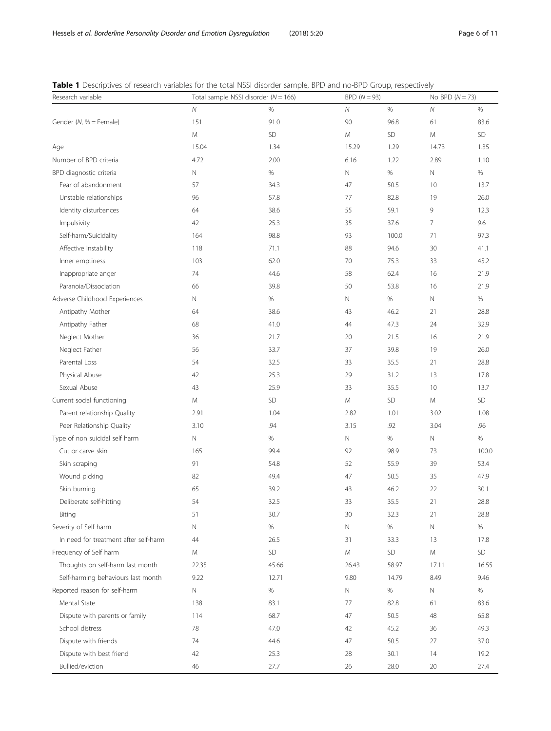| Research variable              | Total sample NSSI disorder ( $N = 166$ ) | $BPD(N=93)$ |              | No BPD $(N = 73)$ |                |      |
|--------------------------------|------------------------------------------|-------------|--------------|-------------------|----------------|------|
|                                | $\overline{N}$                           | $\%$        | $\mathcal N$ | $\%$              | $\mathcal N$   | $\%$ |
| Gender ( $N$ , $%$ = Female)   | 151                                      | 91.0        | 90           | 96.8              | 61             | 83.6 |
|                                | M                                        | SD          | M            | SD                | M              | SD   |
| Age                            | 15.04                                    | 1.34        | 15.29        | 1.29              | 14.73          | 1.35 |
| Number of BPD criteria         | 4.72                                     | 2.00        | 6.16         | 1.22              | 2.89           | 1.10 |
| BPD diagnostic criteria        | $\mathbb N$                              | $\%$        | $\mathsf{N}$ | $\%$              | $\mathsf{N}$   | $\%$ |
| Fear of abandonment            | 57                                       | 34.3        | 47           | 50.5              | 10             | 13.7 |
| Unstable relationships         | 96                                       | 57.8        | 77           | 82.8              | 19             | 26.0 |
| Identity disturbances          | 64                                       | 38.6        | 55           | 59.1              | 9              | 12.3 |
| Impulsivity                    | 42                                       | 25.3        | 35           | 37.6              | $\overline{7}$ | 9.6  |
| Self-harm/Suicidality          | 164                                      | 98.8        | 93           | 100.0             | 71             | 97.3 |
| Affective instability          | 118                                      | 71.1        | 88           | 94.6              | 30             | 41.1 |
| Inner emptiness                | 103                                      | 62.0        | 70           | 75.3              | 33             | 45.2 |
| Inappropriate anger            | 74                                       | 44.6        | 58           | 62.4              | 16             | 21.9 |
| Paranoia/Dissociation          | 66                                       | 39.8        | 50           | 53.8              | 16             | 21.9 |
| Adverse Childhood Experiences  | $\mathbb N$                              | $\%$        | $\mathbb N$  | $\%$              | $\mathbb N$    | $\%$ |
| Antipathy Mother               | 64                                       | 38.6        | 43           | 46.2              | 21             | 28.8 |
| Antipathy Father               | 68                                       | 41.0        | 44           | 47.3              | 24             | 32.9 |
| Neglect Mother                 | 36                                       | 21.7        | 20           | 21.5              | 16             | 21.9 |
| Neglect Father                 | 56                                       | 33.7        | 37           | 39.8              | 19             | 26.0 |
| Parental Loss                  | 54                                       | 32.5        | 33           | 35.5              | 21             | 28.8 |
| Physical Abuse                 | 42                                       | 25.3        | 29           | 31.2              | 13             | 17.8 |
| Sexual Abuse                   | 43                                       | 25.9        | 33           | 35.5              | 10             | 13.7 |
| Current social functioning     | M                                        | SD          | M            | SD                | M              | SD   |
| Parent relationship Quality    | 2.91                                     | 1.04        | 2.82         | 1.01              | 3.02           | 1.08 |
| Peer Relationship Quality      | 3.10                                     | .94         | 3.15         | .92               | 3.04           | .96  |
| Type of non suicidal self harm | $\mathbb N$                              | $\%$        | $\mathbb{N}$ | $\%$              | N              | $\%$ |

Cut or carve skin 165 99.4 92 98.9 73 100.0 Skin scraping 91 54.8 52 55.9 39 53.4 Wound picking 82 82 49.4 47 50.5 35 47.9 Skin burning 65 39.2 43 46.2 22 30.1 30.1 39.2 43 46.2 22 30.1 Deliberate self-hitting 54 32.5 33 35.5 21 28.8 Biting 51 30.7 30 32.3 21 28.8 Severity of Self harm **N** N % N % N % N % N % 96 In need for treatment after self-harm 44 26.5 31 33.3 13 17.8 Frequency of Self harm M M SD M SD M SD M SD M SD Thoughts on self-harm last month  $22.35$   $45.66$   $26.43$   $58.97$   $17.11$   $16.55$ Self-harming behaviours last month  $9.22$  12.71 9.80 14.79 8.49 9.46 Reported reason for self-harm N % N % N % Mental State 138 138 83.1 77 82.8 61 83.6 Dispute with parents or family 114 114 68.7 47 50.5 48 65.8 School distress 78 47.0 42 45.2 36 49.3 Dispute with friends **74** 74 44.6 47 50.5 27 37.0 Dispute with best friend **42** 42 25.3 28 30.1 14 19.2 Bullied/eviction 46 27.7 26 28.0 20 27.4

<span id="page-5-0"></span>Table 1 Descriptives of research variables for the total NSSI disorder sample, BPD and no-BPD Group, respectively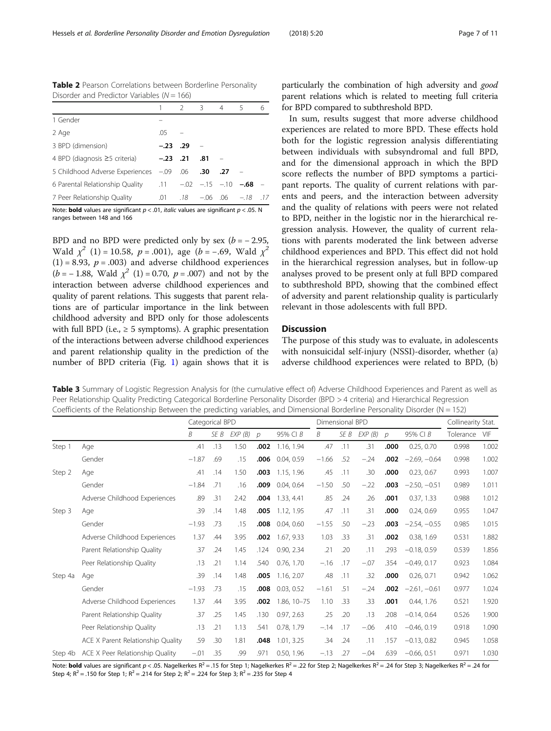7 Peer Relationship Quality .01 .18 −.06 .06 −.18 .17 Note: **bold** values are significant  $p < .01$ , *italic* values are significant  $p < .05$ . N ranges between 148 and 166

<span id="page-6-0"></span>Table 2 Pearson Correlations between Borderline Personality

Disorder and Predictor Variables ( $N = 166$ )

2 Age .05 3 BPD (dimension) **−.23 .29** 4 BPD (diagnosis ≥5 criteria) **-.23 .21 .81** 5 Childhood Adverse Experiences −.09 .06 .30 .27 – 6 Parental Relationship Quality .11 −.02 −.15 −.10 −.68 –

1 Gender –

BPD and no BPD were predicted only by sex ( $b = -2.95$ , Wald  $\chi^2$  (1) = 10.58, p = .001), age (b = -.69, Wald  $\chi^2$  $(1) = 8.93$ ,  $p = .003$ ) and adverse childhood experiences  $(b = -1.88$ , Wald  $\chi^2$  (1) = 0.70,  $p = .007$ ) and not by the interaction between adverse childhood experiences and quality of parent relations. This suggests that parent relations are of particular importance in the link between childhood adversity and BPD only for those adolescents with full BPD (i.e.,  $\geq$  5 symptoms). A graphic presentation of the interactions between adverse childhood experiences and parent relationship quality in the prediction of the number of BPD criteria (Fig. [1\)](#page-7-0) again shows that it is particularly the combination of high adversity and good parent relations which is related to meeting full criteria for BPD compared to subthreshold BPD.

In sum, results suggest that more adverse childhood experiences are related to more BPD. These effects hold both for the logistic regression analysis differentiating between individuals with subsyndromal and full BPD, and for the dimensional approach in which the BPD score reflects the number of BPD symptoms a participant reports. The quality of current relations with parents and peers, and the interaction between adversity and the quality of relations with peers were not related to BPD, neither in the logistic nor in the hierarchical regression analysis. However, the quality of current relations with parents moderated the link between adverse childhood experiences and BPD. This effect did not hold in the hierarchical regression analyses, but in follow-up analyses proved to be present only at full BPD compared to subthreshold BPD, showing that the combined effect of adversity and parent relationship quality is particularly relevant in those adolescents with full BPD.

# **Discussion**

Categorical BPD **Dimensional BPD** Collinearity Stat. B SE B EXP (B)  $p$  95% CI B B SE B EXP (B)  $p$  95% CI B Tolerance VIF

The purpose of this study was to evaluate, in adolescents with nonsuicidal self-injury (NSSI)-disorder, whether (a) adverse childhood experiences were related to BPD, (b)

Table 3 Summary of Logistic Regression Analysis for (the cumulative effect of) Adverse Childhood Experiences and Parent as well as Peer Relationship Quality Predicting Categorical Borderline Personality Disorder (BPD > 4 criteria) and Hierarchical Regression Coefficients of the Relationship Between the predicting variables, and Dimensional Borderline Personality Disorder ( $N = 152$ )

| Step 1  | Age                               | .41     | .13 | 1.50 | .002 | 1.16, 1.94  | .47     | .11 | .31    | .000 | 0.25, 0.70     | 0.998 | 1.002 |
|---------|-----------------------------------|---------|-----|------|------|-------------|---------|-----|--------|------|----------------|-------|-------|
|         | Gender                            | $-1.87$ | .69 | .15  | .006 | 0.04, 0.59  | $-1.66$ | .52 | $-.24$ | .002 | $-2.69, -0.64$ | 0.998 | 1.002 |
| Step 2  | Age                               | .41     | .14 | 1.50 | .003 | 1.15, 1.96  | .45     | .11 | .30    | .000 | 0.23, 0.67     | 0.993 | 1.007 |
|         | Gender                            | $-1.84$ | .71 | .16  | .009 | 0.04, 0.64  | $-1.50$ | .50 | $-.22$ | .003 | $-2.50, -0.51$ | 0.989 | 1.011 |
|         | Adverse Childhood Experiences     | .89     | .31 | 2.42 | .004 | 1.33, 4.41  | .85     | .24 | .26    | .001 | 0.37, 1.33     | 0.988 | 1.012 |
| Step 3  | Age                               | .39     | .14 | 1.48 | .005 | 1.12, 1.95  | .47     | .11 | .31    | .000 | 0.24, 0.69     | 0.955 | 1.047 |
|         | Gender                            | $-1.93$ | .73 | .15  | .008 | 0.04, 0.60  | $-1.55$ | .50 | $-.23$ | .003 | $-2.54, -0.55$ | 0.985 | 1.015 |
|         | Adverse Childhood Experiences     | 1.37    | .44 | 3.95 | .002 | 1.67, 9.33  | 1.03    | .33 | .31    | .002 | 0.38, 1.69     | 0.531 | 1.882 |
|         | Parent Relationship Quality       | .37     | .24 | 1.45 | .124 | 0.90, 2.34  | .21     | .20 | .11    | .293 | $-0.18, 0.59$  | 0.539 | 1.856 |
|         | Peer Relationship Quality         | .13     | .21 | 1.14 | .540 | 0.76, 1.70  | $-.16$  | .17 | $-.07$ | .354 | $-0.49, 0.17$  | 0.923 | 1.084 |
| Step 4a | Age                               | .39     | .14 | 1.48 | .005 | 1.16, 2.07  | .48     | .11 | .32    | .000 | 0.26, 0.71     | 0.942 | 1.062 |
|         | Gender                            | $-1.93$ | .73 | .15  | .008 | 0.03, 0.52  | $-1.61$ | .51 | $-.24$ | .002 | $-2.61, -0.61$ | 0.977 | 1.024 |
|         | Adverse Childhood Experiences     | 1.37    | .44 | 3.95 | .002 | 1.86, 10-75 | 1.10    | .33 | .33    | .001 | 0.44, 1.76     | 0.521 | 1.920 |
|         | Parent Relationship Quality       | .37     | .25 | 1.45 | .130 | 0.97, 2.63  | .25     | .20 | .13    | .208 | $-0.14, 0.64$  | 0.526 | 1.900 |
|         | Peer Relationship Quality         | .13     | .21 | 1.13 | .541 | 0.78, 1.79  | $-.14$  | .17 | $-.06$ | .410 | $-0.46, 0.19$  | 0.918 | 1.090 |
|         | ACE X Parent Relationship Quality | .59     | .30 | 1.81 | .048 | 1.01, 3.25  | .34     | .24 | .11    | .157 | $-0.13, 0.82$  | 0.945 | 1.058 |
| Step 4b | ACE X Peer Relationship Quality   | $-.01$  | .35 | .99  | .971 | 0.50, 1.96  | $-.13$  | .27 | $-.04$ | .639 | $-0.66, 0.51$  | 0.971 | 1.030 |

Note: **bold** values are significant  $p < 0.05$ . Nagelkerkes R<sup>2</sup> = .15 for Step 1; Nagelkerkes R<sup>2</sup> = .22 for Step 2; Nagelkerkes R<sup>2</sup> = .24 for Step 3; Nagelkerkes R<sup>2</sup> = .24 for Step 4;  $R^2 = .150$  for Step 1;  $R^2 = .214$  for Step 2;  $R^2 = .224$  for Step 3;  $R^2 = .235$  for Step 4

1 2345 6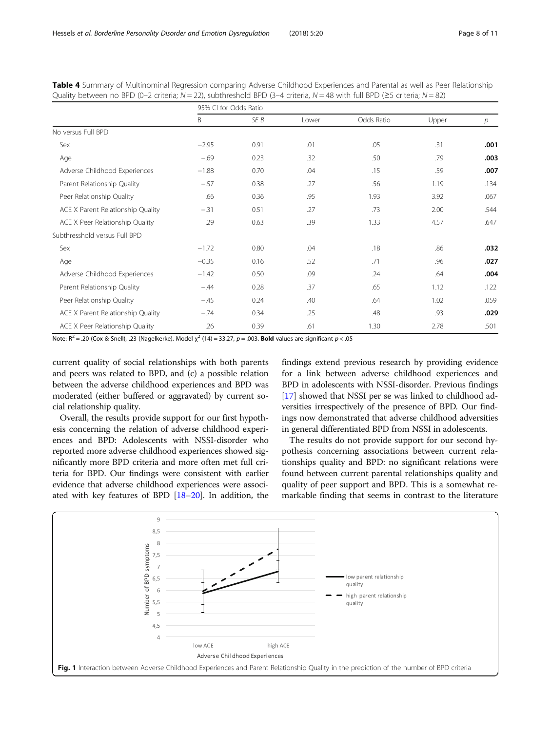<span id="page-7-0"></span>

| Table 4 Summary of Multinominal Regression comparing Adverse Childhood Experiences and Parental as well as Peer Relationship      |  |  |
|-----------------------------------------------------------------------------------------------------------------------------------|--|--|
| Quality between no BPD (0-2 criteria; $N = 22$ ), subthreshold BPD (3-4 criteria, $N = 48$ with full BPD (25 criteria; $N = 82$ ) |  |  |

|                                   | 95% Cl for Odds Ratio |      |       |            |       |      |  |  |
|-----------------------------------|-----------------------|------|-------|------------|-------|------|--|--|
|                                   | Β                     | SE B | Lower | Odds Ratio | Upper | р    |  |  |
| No versus Full BPD                |                       |      |       |            |       |      |  |  |
| Sex                               | $-2.95$               | 0.91 | .01   | .05        | .31   | .001 |  |  |
| Age                               | $-.69$                | 0.23 | .32   | .50        | .79   | .003 |  |  |
| Adverse Childhood Experiences     | $-1.88$               | 0.70 | .04   | .15        | .59   | .007 |  |  |
| Parent Relationship Quality       | $-.57$                | 0.38 | .27   | .56        | 1.19  | .134 |  |  |
| Peer Relationship Quality         | .66                   | 0.36 | .95   | 1.93       | 3.92  | .067 |  |  |
| ACE X Parent Relationship Quality | $-.31$                | 0.51 | .27   | .73        | 2.00  | .544 |  |  |
| ACE X Peer Relationship Quality   | .29                   | 0.63 | .39   | 1.33       | 4.57  | .647 |  |  |
| Subthresshold versus Full BPD     |                       |      |       |            |       |      |  |  |
| Sex                               | $-1.72$               | 0.80 | .04   | .18        | .86   | .032 |  |  |
| Age                               | $-0.35$               | 0.16 | .52   | .71        | .96   | .027 |  |  |
| Adverse Childhood Experiences     | $-1.42$               | 0.50 | .09   | .24        | .64   | .004 |  |  |
| Parent Relationship Quality       | $-.44$                | 0.28 | .37   | .65        | 1.12  | .122 |  |  |
| Peer Relationship Quality         | $-.45$                | 0.24 | .40   | .64        | 1.02  | .059 |  |  |
| ACE X Parent Relationship Quality | $-.74$                | 0.34 | .25   | .48        | .93   | .029 |  |  |
| ACE X Peer Relationship Quality   | .26                   | 0.39 | .61   | 1.30       | 2.78  | .501 |  |  |

Note:  $R^2 = .20$  (Cox & Snell), .23 (Nagelkerke). Model  $\chi^2$  (14) = 33.27, p = .003. **Bold** values are significant p < .05

current quality of social relationships with both parents and peers was related to BPD, and (c) a possible relation between the adverse childhood experiences and BPD was moderated (either buffered or aggravated) by current social relationship quality.

Overall, the results provide support for our first hypothesis concerning the relation of adverse childhood experiences and BPD: Adolescents with NSSI-disorder who reported more adverse childhood experiences showed significantly more BPD criteria and more often met full criteria for BPD. Our findings were consistent with earlier evidence that adverse childhood experiences were associated with key features of BPD [\[18](#page-10-0)–[20](#page-10-0)]. In addition, the findings extend previous research by providing evidence for a link between adverse childhood experiences and BPD in adolescents with NSSI-disorder. Previous findings [[17](#page-10-0)] showed that NSSI per se was linked to childhood adversities irrespectively of the presence of BPD. Our findings now demonstrated that adverse childhood adversities in general differentiated BPD from NSSI in adolescents.

The results do not provide support for our second hypothesis concerning associations between current relationships quality and BPD: no significant relations were found between current parental relationships quality and quality of peer support and BPD. This is a somewhat remarkable finding that seems in contrast to the literature

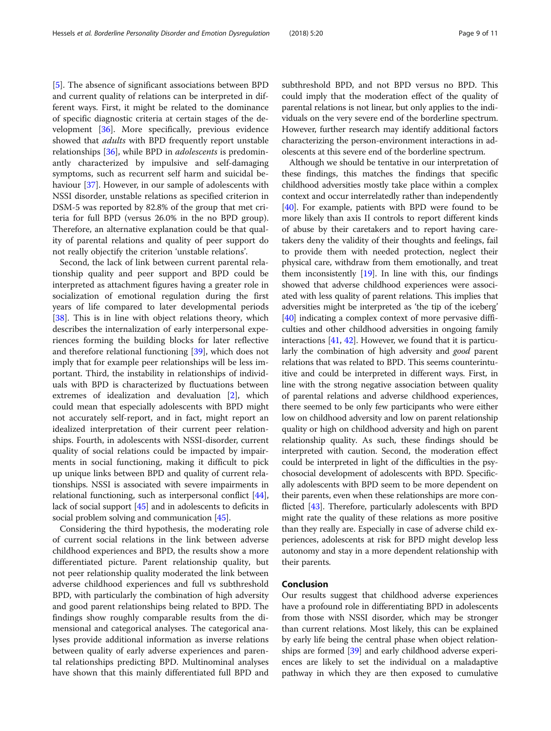[[5\]](#page-10-0). The absence of significant associations between BPD and current quality of relations can be interpreted in different ways. First, it might be related to the dominance of specific diagnostic criteria at certain stages of the development [[36](#page-10-0)]. More specifically, previous evidence showed that *adults* with BPD frequently report unstable relationships [[36](#page-10-0)], while BPD in *adolescents* is predominantly characterized by impulsive and self-damaging symptoms, such as recurrent self harm and suicidal behaviour [[37](#page-10-0)]. However, in our sample of adolescents with NSSI disorder, unstable relations as specified criterion in DSM-5 was reported by 82.8% of the group that met criteria for full BPD (versus 26.0% in the no BPD group). Therefore, an alternative explanation could be that quality of parental relations and quality of peer support do not really objectify the criterion 'unstable relations'.

Second, the lack of link between current parental relationship quality and peer support and BPD could be interpreted as attachment figures having a greater role in socialization of emotional regulation during the first years of life compared to later developmental periods [[38\]](#page-10-0). This is in line with object relations theory, which describes the internalization of early interpersonal experiences forming the building blocks for later reflective and therefore relational functioning [\[39](#page-10-0)], which does not imply that for example peer relationships will be less important. Third, the instability in relationships of individuals with BPD is characterized by fluctuations between extremes of idealization and devaluation [[2\]](#page-9-0), which could mean that especially adolescents with BPD might not accurately self-report, and in fact, might report an idealized interpretation of their current peer relationships. Fourth, in adolescents with NSSI-disorder, current quality of social relations could be impacted by impairments in social functioning, making it difficult to pick up unique links between BPD and quality of current relationships. NSSI is associated with severe impairments in relational functioning, such as interpersonal conflict [[44](#page-10-0)], lack of social support [\[45\]](#page-10-0) and in adolescents to deficits in social problem solving and communication [[45](#page-10-0)].

Considering the third hypothesis, the moderating role of current social relations in the link between adverse childhood experiences and BPD, the results show a more differentiated picture. Parent relationship quality, but not peer relationship quality moderated the link between adverse childhood experiences and full vs subthreshold BPD, with particularly the combination of high adversity and good parent relationships being related to BPD. The findings show roughly comparable results from the dimensional and categorical analyses. The categorical analyses provide additional information as inverse relations between quality of early adverse experiences and parental relationships predicting BPD. Multinominal analyses have shown that this mainly differentiated full BPD and subthreshold BPD, and not BPD versus no BPD. This could imply that the moderation effect of the quality of parental relations is not linear, but only applies to the individuals on the very severe end of the borderline spectrum. However, further research may identify additional factors characterizing the person-environment interactions in adolescents at this severe end of the borderline spectrum.

Although we should be tentative in our interpretation of these findings, this matches the findings that specific childhood adversities mostly take place within a complex context and occur interrelatedly rather than independently [[40](#page-10-0)]. For example, patients with BPD were found to be more likely than axis II controls to report different kinds of abuse by their caretakers and to report having caretakers deny the validity of their thoughts and feelings, fail to provide them with needed protection, neglect their physical care, withdraw from them emotionally, and treat them inconsistently [[19](#page-10-0)]. In line with this, our findings showed that adverse childhood experiences were associated with less quality of parent relations. This implies that adversities might be interpreted as 'the tip of the iceberg' [[40](#page-10-0)] indicating a complex context of more pervasive difficulties and other childhood adversities in ongoing family interactions [[41](#page-10-0), [42\]](#page-10-0). However, we found that it is particularly the combination of high adversity and good parent relations that was related to BPD. This seems counterintuitive and could be interpreted in different ways. First, in line with the strong negative association between quality of parental relations and adverse childhood experiences, there seemed to be only few participants who were either low on childhood adversity and low on parent relationship quality or high on childhood adversity and high on parent relationship quality. As such, these findings should be interpreted with caution. Second, the moderation effect could be interpreted in light of the difficulties in the psychosocial development of adolescents with BPD. Specifically adolescents with BPD seem to be more dependent on their parents, even when these relationships are more conflicted [\[43\]](#page-10-0). Therefore, particularly adolescents with BPD might rate the quality of these relations as more positive than they really are. Especially in case of adverse child experiences, adolescents at risk for BPD might develop less autonomy and stay in a more dependent relationship with their parents.

# Conclusion

Our results suggest that childhood adverse experiences have a profound role in differentiating BPD in adolescents from those with NSSI disorder, which may be stronger than current relations. Most likely, this can be explained by early life being the central phase when object relationships are formed [[39](#page-10-0)] and early childhood adverse experiences are likely to set the individual on a maladaptive pathway in which they are then exposed to cumulative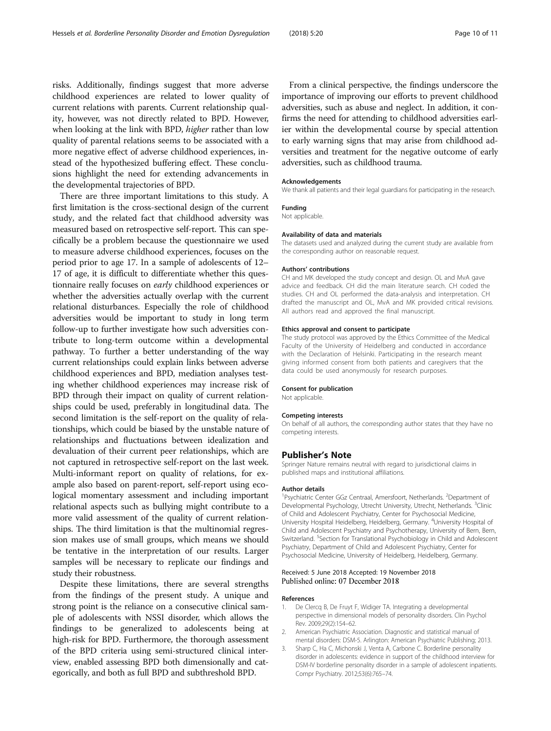<span id="page-9-0"></span>risks. Additionally, findings suggest that more adverse childhood experiences are related to lower quality of current relations with parents. Current relationship quality, however, was not directly related to BPD. However, when looking at the link with BPD, higher rather than low quality of parental relations seems to be associated with a more negative effect of adverse childhood experiences, instead of the hypothesized buffering effect. These conclusions highlight the need for extending advancements in the developmental trajectories of BPD.

There are three important limitations to this study. A first limitation is the cross-sectional design of the current study, and the related fact that childhood adversity was measured based on retrospective self-report. This can specifically be a problem because the questionnaire we used to measure adverse childhood experiences, focuses on the period prior to age 17. In a sample of adolescents of 12– 17 of age, it is difficult to differentiate whether this questionnaire really focuses on early childhood experiences or whether the adversities actually overlap with the current relational disturbances. Especially the role of childhood adversities would be important to study in long term follow-up to further investigate how such adversities contribute to long-term outcome within a developmental pathway. To further a better understanding of the way current relationships could explain links between adverse childhood experiences and BPD, mediation analyses testing whether childhood experiences may increase risk of BPD through their impact on quality of current relationships could be used, preferably in longitudinal data. The second limitation is the self-report on the quality of relationships, which could be biased by the unstable nature of relationships and fluctuations between idealization and devaluation of their current peer relationships, which are not captured in retrospective self-report on the last week. Multi-informant report on quality of relations, for example also based on parent-report, self-report using ecological momentary assessment and including important relational aspects such as bullying might contribute to a more valid assessment of the quality of current relationships. The third limitation is that the multinomial regression makes use of small groups, which means we should be tentative in the interpretation of our results. Larger samples will be necessary to replicate our findings and study their robustness.

Despite these limitations, there are several strengths from the findings of the present study. A unique and strong point is the reliance on a consecutive clinical sample of adolescents with NSSI disorder, which allows the findings to be generalized to adolescents being at high-risk for BPD. Furthermore, the thorough assessment of the BPD criteria using semi-structured clinical interview, enabled assessing BPD both dimensionally and categorically, and both as full BPD and subthreshold BPD.

From a clinical perspective, the findings underscore the importance of improving our efforts to prevent childhood adversities, such as abuse and neglect. In addition, it confirms the need for attending to childhood adversities earlier within the developmental course by special attention to early warning signs that may arise from childhood adversities and treatment for the negative outcome of early adversities, such as childhood trauma.

#### Acknowledgements

We thank all patients and their legal guardians for participating in the research.

# Funding

Not applicable.

#### Availability of data and materials

The datasets used and analyzed during the current study are available from the corresponding author on reasonable request.

#### Authors' contributions

CH and MK developed the study concept and design. OL and MvA gave advice and feedback. CH did the main literature search. CH coded the studies. CH and OL performed the data-analysis and interpretation. CH drafted the manuscript and OL, MvA and MK provided critical revisions. All authors read and approved the final manuscript.

#### Ethics approval and consent to participate

The study protocol was approved by the Ethics Committee of the Medical Faculty of the University of Heidelberg and conducted in accordance with the Declaration of Helsinki. Participating in the research meant giving informed consent from both patients and caregivers that the data could be used anonymously for research purposes.

#### Consent for publication

Not applicable.

#### Competing interests

On behalf of all authors, the corresponding author states that they have no competing interests.

#### Publisher's Note

Springer Nature remains neutral with regard to jurisdictional claims in published maps and institutional affiliations.

#### Author details

<sup>1</sup>Psychiatric Center GGz Centraal, Amersfoort, Netherlands. <sup>2</sup>Department of Developmental Psychology, Utrecht University, Utrecht, Netherlands. <sup>3</sup>Clinic of Child and Adolescent Psychiatry, Center for Psychosocial Medicine, University Hospital Heidelberg, Heidelberg, Germany. <sup>4</sup>University Hospital of Child and Adolescent Psychiatry and Psychotherapy, University of Bern, Bern, Switzerland. <sup>5</sup>Section for Translational Psychobiology in Child and Adolescent Psychiatry, Department of Child and Adolescent Psychiatry, Center for Psychosocial Medicine, University of Heidelberg, Heidelberg, Germany.

#### Received: 5 June 2018 Accepted: 19 November 2018 Published online: 07 December 2018

#### References

- 1. De Clercq B, De Fruyt F, Widiger TA. Integrating a developmental perspective in dimensional models of personality disorders. Clin Psychol Rev. 2009;29(2):154–62.
- 2. American Psychiatric Association. Diagnostic and statistical manual of mental disorders: DSM-5. Arlington: American Psychiatric Publishing; 2013.
- 3. Sharp C, Ha C, Michonski J, Venta A, Carbone C. Borderline personality disorder in adolescents: evidence in support of the childhood interview for DSM-IV borderline personality disorder in a sample of adolescent inpatients. Compr Psychiatry. 2012;53(6):765–74.